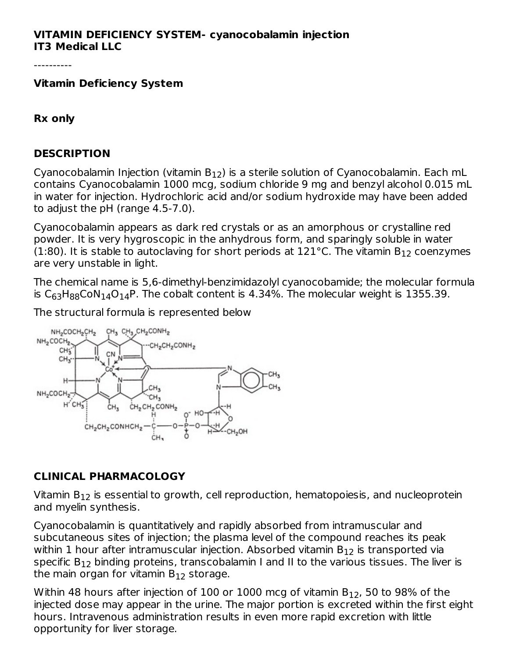#### **VITAMIN DEFICIENCY SYSTEM- cyanocobalamin injection IT3 Medical LLC**

----------

**Vitamin Deficiency System**

#### **Rx only**

#### **DESCRIPTION**

Cyanocobalamin Injection (vitamin B $_{12}$ ) is a sterile solution of Cyanocobalamin. Each mL contains Cyanocobalamin 1000 mcg, sodium chloride 9 mg and benzyl alcohol 0.015 mL in water for injection. Hydrochloric acid and/or sodium hydroxide may have been added to adjust the pH (range 4.5-7.0).

Cyanocobalamin appears as dark red crystals or as an amorphous or crystalline red powder. It is very hygroscopic in the anhydrous form, and sparingly soluble in water (1:80). It is stable to autoclaving for short periods at 121°C. The vitamin  $\mathsf{B}_{12}$  coenzymes are very unstable in light.

The chemical name is 5,6-dimethyl-benzimidazolyl cyanocobamide; the molecular formula is  $\mathsf{C}_{63}\mathsf{H}_{88}\mathsf{CoN}_1$ 4 $\mathsf{O}_{14}\mathsf{P}.$  The cobalt content is 4.34%. The molecular weight is 1355.39.

The structural formula is represented below



#### **CLINICAL PHARMACOLOGY**

Vitamin  $\mathsf{B}_{12}$  is essential to growth, cell reproduction, hematopoiesis, and nucleoprotein and myelin synthesis.

Cyanocobalamin is quantitatively and rapidly absorbed from intramuscular and subcutaneous sites of injection; the plasma level of the compound reaches its peak within 1 hour after intramuscular injection. Absorbed vitamin  $\mathsf{B}_{12}$  is transported via specific  $\mathsf{B}_{12}$  binding proteins, transcobalamin I and II to the various tissues. The liver is the main organ for vitamin B $_{\rm 12}$  storage.

Within 48 hours after injection of 100 or 1000 mcg of vitamin B $_{\rm 12}$ , 50 to 98% of the injected dose may appear in the urine. The major portion is excreted within the first eight hours. Intravenous administration results in even more rapid excretion with little opportunity for liver storage.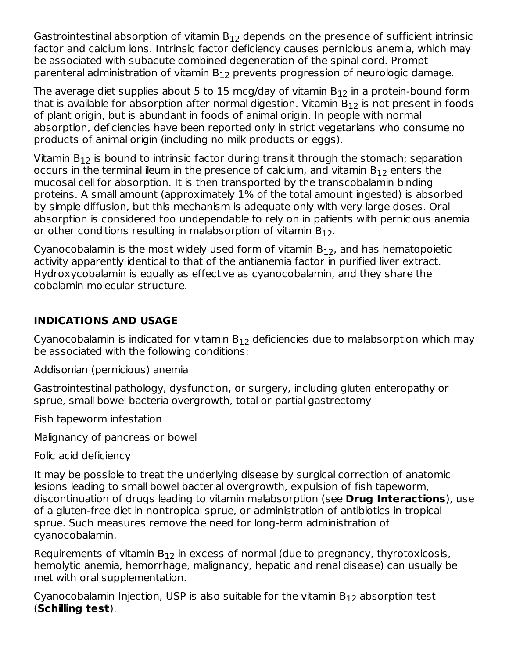Gastrointestinal absorption of vitamin  $\mathsf{B}_{12}$  depends on the presence of sufficient intrinsic factor and calcium ions. Intrinsic factor deficiency causes pernicious anemia, which may be associated with subacute combined degeneration of the spinal cord. Prompt parenteral administration of vitamin  $\mathsf{B}_{12}$  prevents progression of neurologic damage.

The average diet supplies about 5 to 15 mcg/day of vitamin  $\mathsf{B}_{12}$  in a protein-bound form that is available for absorption after normal digestion. Vitamin  $\mathsf{B}_{12}$  is not present in foods of plant origin, but is abundant in foods of animal origin. In people with normal absorption, deficiencies have been reported only in strict vegetarians who consume no products of animal origin (including no milk products or eggs).

Vitamin  $\mathsf{B}_{12}$  is bound to intrinsic factor during transit through the stomach; separation occurs in the terminal ileum in the presence of calcium, and vitamin  $\mathsf{B}_{12}$  enters the mucosal cell for absorption. It is then transported by the transcobalamin binding proteins. A small amount (approximately 1% of the total amount ingested) is absorbed by simple diffusion, but this mechanism is adequate only with very large doses. Oral absorption is considered too undependable to rely on in patients with pernicious anemia or other conditions resulting in malabsorption of vitamin  $\mathsf{B}_{12}.$ 

Cyanocobalamin is the most widely used form of vitamin  $\mathsf{B}_{12}$ , and has hematopoietic activity apparently identical to that of the antianemia factor in purified liver extract. Hydroxycobalamin is equally as effective as cyanocobalamin, and they share the cobalamin molecular structure.

# **INDICATIONS AND USAGE**

Cyanocobalamin is indicated for vitamin  $\mathsf{B}_{12}$  deficiencies due to malabsorption which may be associated with the following conditions:

Addisonian (pernicious) anemia

Gastrointestinal pathology, dysfunction, or surgery, including gluten enteropathy or sprue, small bowel bacteria overgrowth, total or partial gastrectomy

Fish tapeworm infestation

Malignancy of pancreas or bowel

Folic acid deficiency

It may be possible to treat the underlying disease by surgical correction of anatomic lesions leading to small bowel bacterial overgrowth, expulsion of fish tapeworm, discontinuation of drugs leading to vitamin malabsorption (see **Drug Interactions**), use of a gluten-free diet in nontropical sprue, or administration of antibiotics in tropical sprue. Such measures remove the need for long-term administration of cyanocobalamin.

Requirements of vitamin  $B_{12}$  in excess of normal (due to pregnancy, thyrotoxicosis, hemolytic anemia, hemorrhage, malignancy, hepatic and renal disease) can usually be met with oral supplementation.

Cyanocobalamin Injection, USP is also suitable for the vitamin  $\mathsf{B}_{12}$  absorption test (**Schilling test**).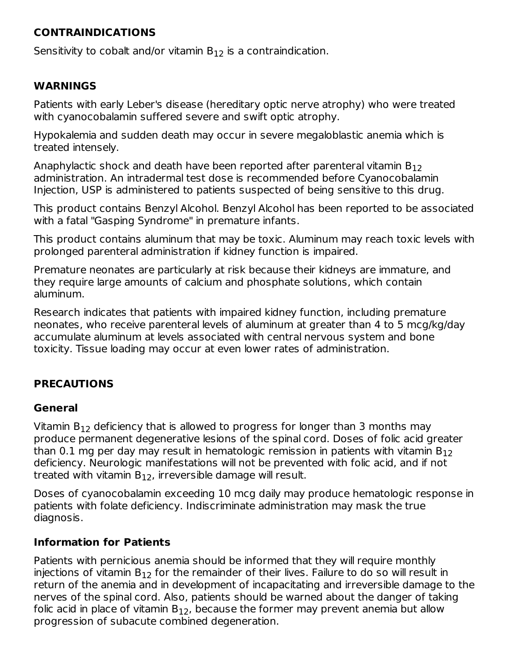## **CONTRAINDICATIONS**

Sensitivity to cobalt and/or vitamin  $B_{12}$  is a contraindication.

### **WARNINGS**

Patients with early Leber's disease (hereditary optic nerve atrophy) who were treated with cyanocobalamin suffered severe and swift optic atrophy.

Hypokalemia and sudden death may occur in severe megaloblastic anemia which is treated intensely.

Anaphylactic shock and death have been reported after parenteral vitamin  $\mathsf{B}_{12}$ administration. An intradermal test dose is recommended before Cyanocobalamin Injection, USP is administered to patients suspected of being sensitive to this drug.

This product contains Benzyl Alcohol. Benzyl Alcohol has been reported to be associated with a fatal "Gasping Syndrome" in premature infants.

This product contains aluminum that may be toxic. Aluminum may reach toxic levels with prolonged parenteral administration if kidney function is impaired.

Premature neonates are particularly at risk because their kidneys are immature, and they require large amounts of calcium and phosphate solutions, which contain aluminum.

Research indicates that patients with impaired kidney function, including premature neonates, who receive parenteral levels of aluminum at greater than 4 to 5 mcg/kg/day accumulate aluminum at levels associated with central nervous system and bone toxicity. Tissue loading may occur at even lower rates of administration.

## **PRECAUTIONS**

#### **General**

Vitamin B $_{12}$  deficiency that is allowed to progress for longer than 3 months may produce permanent degenerative lesions of the spinal cord. Doses of folic acid greater than 0.1 mg per day may result in hematologic remission in patients with vitamin B $_{\rm 12}$ deficiency. Neurologic manifestations will not be prevented with folic acid, and if not treated with vitamin  $\mathsf{B}_{12}$ , irreversible damage will result.

Doses of cyanocobalamin exceeding 10 mcg daily may produce hematologic response in patients with folate deficiency. Indiscriminate administration may mask the true diagnosis.

#### **Information for Patients**

Patients with pernicious anemia should be informed that they will require monthly injections of vitamin  $\mathsf{B}_{12}$  for the remainder of their lives. Failure to do so will result in return of the anemia and in development of incapacitating and irreversible damage to the nerves of the spinal cord. Also, patients should be warned about the danger of taking folic acid in place of vitamin B $_{12}$ , because the former may prevent anemia but allow progression of subacute combined degeneration.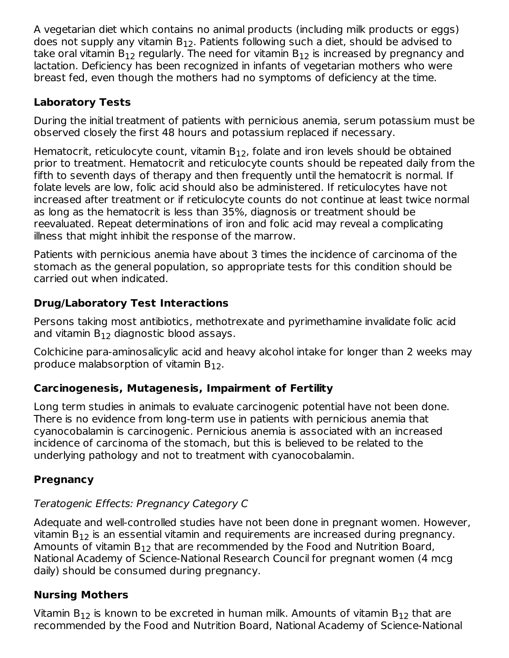A vegetarian diet which contains no animal products (including milk products or eggs) does not supply any vitamin  $\mathsf{B}_{12}.$  Patients following such a diet, should be advised to take oral vitamin  $\mathsf{B}_{12}$  regularly. The need for vitamin  $\mathsf{B}_{12}$  is increased by pregnancy and lactation. Deficiency has been recognized in infants of vegetarian mothers who were breast fed, even though the mothers had no symptoms of deficiency at the time.

## **Laboratory Tests**

During the initial treatment of patients with pernicious anemia, serum potassium must be observed closely the first 48 hours and potassium replaced if necessary.

Hematocrit, reticulocyte count, vitamin  $B_{12}$ , folate and iron levels should be obtained prior to treatment. Hematocrit and reticulocyte counts should be repeated daily from the fifth to seventh days of therapy and then frequently until the hematocrit is normal. If folate levels are low, folic acid should also be administered. If reticulocytes have not increased after treatment or if reticulocyte counts do not continue at least twice normal as long as the hematocrit is less than 35%, diagnosis or treatment should be reevaluated. Repeat determinations of iron and folic acid may reveal a complicating illness that might inhibit the response of the marrow.

Patients with pernicious anemia have about 3 times the incidence of carcinoma of the stomach as the general population, so appropriate tests for this condition should be carried out when indicated.

# **Drug/Laboratory Test Interactions**

Persons taking most antibiotics, methotrexate and pyrimethamine invalidate folic acid and vitamin  $\mathsf{B}_{12}$  diagnostic blood assays.

Colchicine para-aminosalicylic acid and heavy alcohol intake for longer than 2 weeks may produce malabsorption of vitamin  $B_{12}$ .

# **Carcinogenesis, Mutagenesis, Impairment of Fertility**

Long term studies in animals to evaluate carcinogenic potential have not been done. There is no evidence from long-term use in patients with pernicious anemia that cyanocobalamin is carcinogenic. Pernicious anemia is associated with an increased incidence of carcinoma of the stomach, but this is believed to be related to the underlying pathology and not to treatment with cyanocobalamin.

# **Pregnancy**

# Teratogenic Effects: Pregnancy Category C

Adequate and well-controlled studies have not been done in pregnant women. However, vitamin  $\mathsf{B}_{12}$  is an essential vitamin and requirements are increased during pregnancy. Amounts of vitamin  $\mathsf{B}_{12}$  that are recommended by the Food and Nutrition Board, National Academy of Science-National Research Council for pregnant women (4 mcg daily) should be consumed during pregnancy.

# **Nursing Mothers**

Vitamin B $_{12}$  is known to be excreted in human milk. Amounts of vitamin B $_{12}$  that are recommended by the Food and Nutrition Board, National Academy of Science-National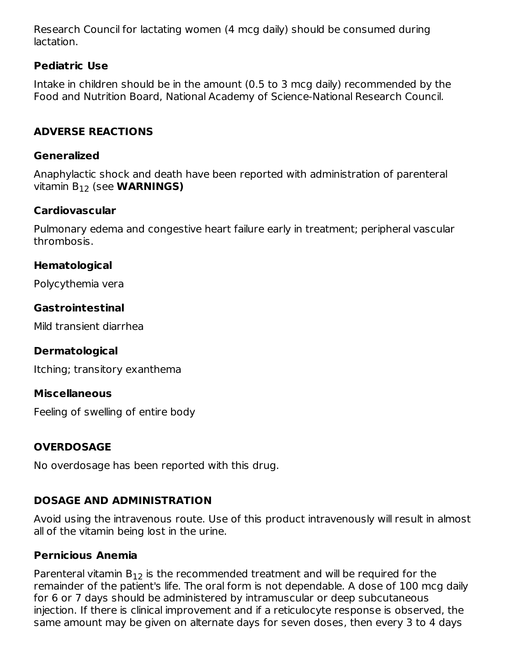Research Council for lactating women (4 mcg daily) should be consumed during lactation.

## **Pediatric Use**

Intake in children should be in the amount (0.5 to 3 mcg daily) recommended by the Food and Nutrition Board, National Academy of Science-National Research Council.

# **ADVERSE REACTIONS**

#### **Generalized**

Anaphylactic shock and death have been reported with administration of parenteral vitamin B<sub>12</sub> (see **WARNINGS)** 

### **Cardiovascular**

Pulmonary edema and congestive heart failure early in treatment; peripheral vascular thrombosis.

### **Hematological**

Polycythemia vera

## **Gastrointestinal**

Mild transient diarrhea

#### **Dermatological**

Itching; transitory exanthema

#### **Miscellaneous**

Feeling of swelling of entire body

## **OVERDOSAGE**

No overdosage has been reported with this drug.

# **DOSAGE AND ADMINISTRATION**

Avoid using the intravenous route. Use of this product intravenously will result in almost all of the vitamin being lost in the urine.

# **Pernicious Anemia**

Parenteral vitamin  $B_{12}$  is the recommended treatment and will be required for the remainder of the patient's life. The oral form is not dependable. A dose of 100 mcg daily for 6 or 7 days should be administered by intramuscular or deep subcutaneous injection. If there is clinical improvement and if a reticulocyte response is observed, the same amount may be given on alternate days for seven doses, then every 3 to 4 days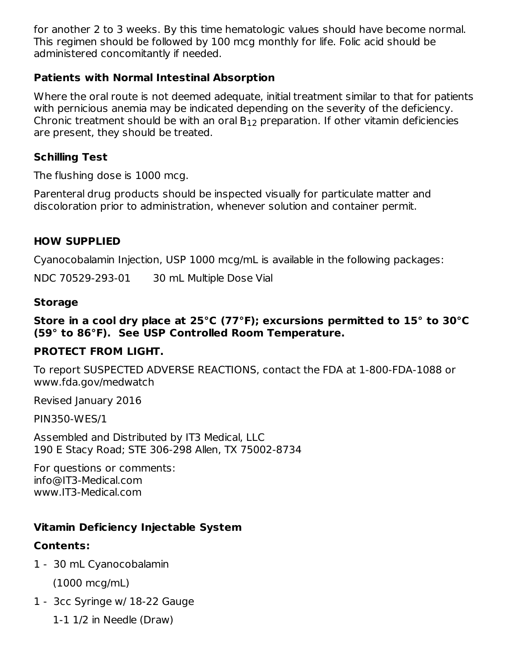for another 2 to 3 weeks. By this time hematologic values should have become normal. This regimen should be followed by 100 mcg monthly for life. Folic acid should be administered concomitantly if needed.

### **Patients with Normal Intestinal Absorption**

Where the oral route is not deemed adequate, initial treatment similar to that for patients with pernicious anemia may be indicated depending on the severity of the deficiency. Chronic treatment should be with an oral  $B_{12}$  preparation. If other vitamin deficiencies are present, they should be treated.

### **Schilling Test**

The flushing dose is 1000 mcg.

Parenteral drug products should be inspected visually for particulate matter and discoloration prior to administration, whenever solution and container permit.

### **HOW SUPPLIED**

Cyanocobalamin Injection, USP 1000 mcg/mL is available in the following packages:

NDC 70529-293-01 30 mL Multiple Dose Vial

#### **Storage**

#### **Store in a cool dry place at 25°C (77°F); excursions permitted to 15° to 30°C (59° to 86°F). See USP Controlled Room Temperature.**

#### **PROTECT FROM LIGHT.**

To report SUSPECTED ADVERSE REACTIONS, contact the FDA at 1-800-FDA-1088 or www.fda.gov/medwatch

Revised January 2016

PIN350-WES/1

Assembled and Distributed by IT3 Medical, LLC 190 E Stacy Road; STE 306-298 Allen, TX 75002-8734

For questions or comments: info@IT3-Medical.com www.IT3-Medical.com

## **Vitamin Deficiency Injectable System**

#### **Contents:**

- 1 30 mL Cyanocobalamin (1000 mcg/mL)
- 1 3cc Syringe w/ 18-22 Gauge
	- 1-1 1/2 in Needle (Draw)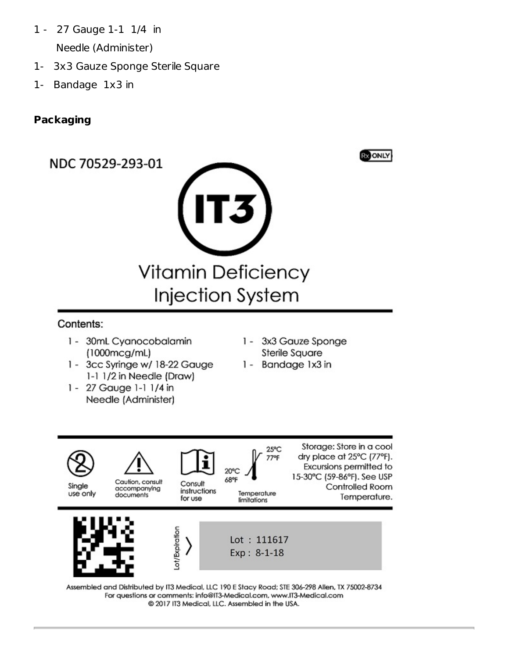- 1 27 Gauge 1-1 1/4 in Needle (Administer)
- 1- 3x3 Gauze Sponge Sterile Square
- 1- Bandage 1x3 in

# **Packaging**

NDC 70529-293-01





### Contents:

- 1 30mL Cyanocobalamin  $(1000mcg/mL)$
- 1 3cc Syringe w/ 18-22 Gauge 1-1 1/2 in Needle (Draw)
- 1 27 Gauge 1-1 1/4 in Needle (Administer)
- 3x3 Gauze Sponge  $1 -$ **Sterile Square**
- 1 Bandage 1x3 in



Assembled and Distributed by IT3 Medical, LLC 190 E Stacy Road; STE 306-298 Allen, TX 75002-8734 For questions or comments: info@IT3-Medical.com, www.IT3-Medical.com @ 2017 IT3 Medical, LLC. Assembled in the USA.